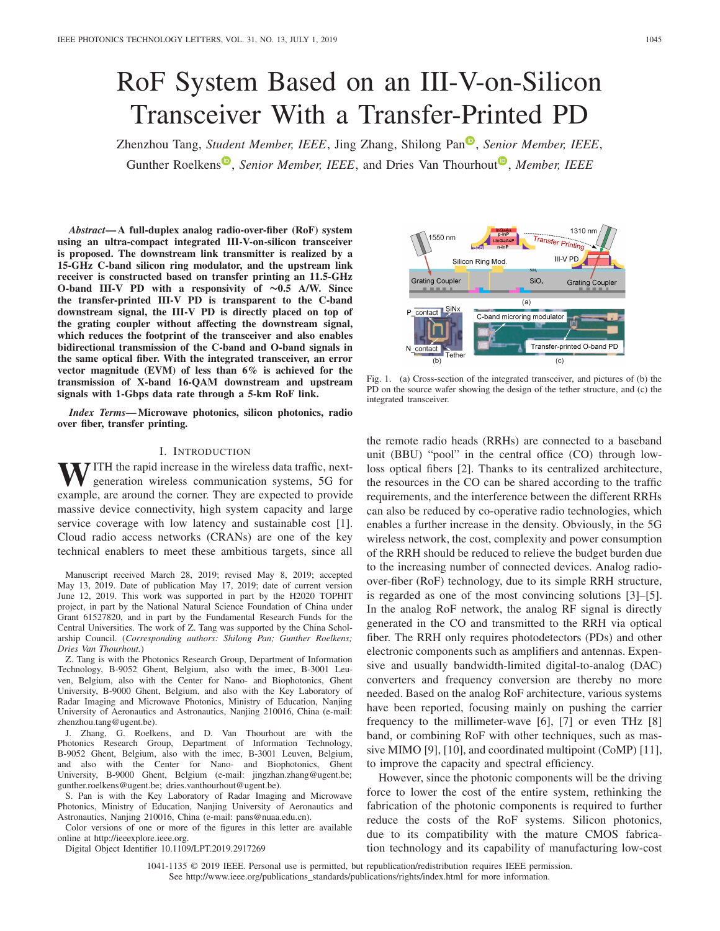# RoF System Based on an III-V-on-Silicon Transceiver With a Transfer-Printed PD

Zhenzhou Tang, *Student Member, IEEE*, Jing Zhang, Shilong Pan<sup>®</sup>, *Senior Member, IEEE*, Gunther Roelken[s](https://orcid.org/0000-0002-4667-5092)<sup>®</sup>, *Senior Member, IEEE*, and Dries Van Thourhou[t](https://orcid.org/0000-0003-0111-431X)<sup>®</sup>, *Member, IEEE* 

*Abstract***— A full-duplex analog radio-over-fiber (RoF) system using an ultra-compact integrated III-V-on-silicon transceiver is proposed. The downstream link transmitter is realized by a 15-GHz C-band silicon ring modulator, and the upstream link receiver is constructed based on transfer printing an 11.5-GHz O-band III-V PD with a responsivity of ∼0.5 A/W. Since the transfer-printed III-V PD is transparent to the C-band downstream signal, the III-V PD is directly placed on top of the grating coupler without affecting the downstream signal, which reduces the footprint of the transceiver and also enables bidirectional transmission of the C-band and O-band signals in the same optical fiber. With the integrated transceiver, an error vector magnitude (EVM) of less than 6% is achieved for the transmission of X-band 16-QAM downstream and upstream signals with 1-Gbps data rate through a 5-km RoF link.**

*Index Terms***— Microwave photonics, silicon photonics, radio over fiber, transfer printing.**

### I. INTRODUCTION

**WITH** the rapid increase in the wireless data traffic, nextgeneration wireless communication systems, 5G for example, are around the corner. They are expected to provide massive device connectivity, high system capacity and large service coverage with low latency and sustainable cost [1]. Cloud radio access networks (CRANs) are one of the key technical enablers to meet these ambitious targets, since all

Manuscript received March 28, 2019; revised May 8, 2019; accepted May 13, 2019. Date of publication May 17, 2019; date of current version June 12, 2019. This work was supported in part by the H2020 TOPHIT project, in part by the National Natural Science Foundation of China under Grant 61527820, and in part by the Fundamental Research Funds for the Central Universities. The work of Z. Tang was supported by the China Scholarship Council. (*Corresponding authors: Shilong Pan; Gunther Roelkens; Dries Van Thourhout.*)

Z. Tang is with the Photonics Research Group, Department of Information Technology, B-9052 Ghent, Belgium, also with the imec, B-3001 Leuven, Belgium, also with the Center for Nano- and Biophotonics, Ghent University, B-9000 Ghent, Belgium, and also with the Key Laboratory of Radar Imaging and Microwave Photonics, Ministry of Education, Nanjing University of Aeronautics and Astronautics, Nanjing 210016, China (e-mail: zhenzhou.tang@ugent.be).

J. Zhang, G. Roelkens, and D. Van Thourhout are with the Photonics Research Group, Department of Information Technology, B-9052 Ghent, Belgium, also with the imec, B-3001 Leuven, Belgium, and also with the Center for Nano- and Biophotonics, Ghent University, B-9000 Ghent, Belgium (e-mail: jingzhan.zhang@ugent.be; gunther.roelkens@ugent.be; dries.vanthourhout@ugent.be).

S. Pan is with the Key Laboratory of Radar Imaging and Microwave Photonics, Ministry of Education, Nanjing University of Aeronautics and Astronautics, Nanjing 210016, China (e-mail: pans@nuaa.edu.cn).

Color versions of one or more of the figures in this letter are available online at http://ieeexplore.ieee.org.

Digital Object Identifier 10.1109/LPT.2019.2917269

1550 nm Transfer Printing **III-V PD** Silicon Ring Mod **Grating Coupler**  $SiO<sub>v</sub>$ Grating Couple  $(a)$ contact SiN C-band microring modulator Transfer-printed O-band PD N contact Tether  $(c)$  $(b)$ 

Fig. 1. (a) Cross-section of the integrated transceiver, and pictures of (b) the PD on the source wafer showing the design of the tether structure, and (c) the integrated transceiver.

the remote radio heads (RRHs) are connected to a baseband unit (BBU) "pool" in the central office (CO) through lowloss optical fibers [2]. Thanks to its centralized architecture, the resources in the CO can be shared according to the traffic requirements, and the interference between the different RRHs can also be reduced by co-operative radio technologies, which enables a further increase in the density. Obviously, in the 5G wireless network, the cost, complexity and power consumption of the RRH should be reduced to relieve the budget burden due to the increasing number of connected devices. Analog radioover-fiber (RoF) technology, due to its simple RRH structure, is regarded as one of the most convincing solutions [3]–[5]. In the analog RoF network, the analog RF signal is directly generated in the CO and transmitted to the RRH via optical fiber. The RRH only requires photodetectors (PDs) and other electronic components such as amplifiers and antennas. Expensive and usually bandwidth-limited digital-to-analog (DAC) converters and frequency conversion are thereby no more needed. Based on the analog RoF architecture, various systems have been reported, focusing mainly on pushing the carrier frequency to the millimeter-wave [6], [7] or even THz [8] band, or combining RoF with other techniques, such as massive MIMO [9], [10], and coordinated multipoint (CoMP) [11], to improve the capacity and spectral efficiency.

However, since the photonic components will be the driving force to lower the cost of the entire system, rethinking the fabrication of the photonic components is required to further reduce the costs of the RoF systems. Silicon photonics, due to its compatibility with the mature CMOS fabrication technology and its capability of manufacturing low-cost

1041-1135 © 2019 IEEE. Personal use is permitted, but republication/redistribution requires IEEE permission. See http://www.ieee.org/publications\_standards/publications/rights/index.html for more information.

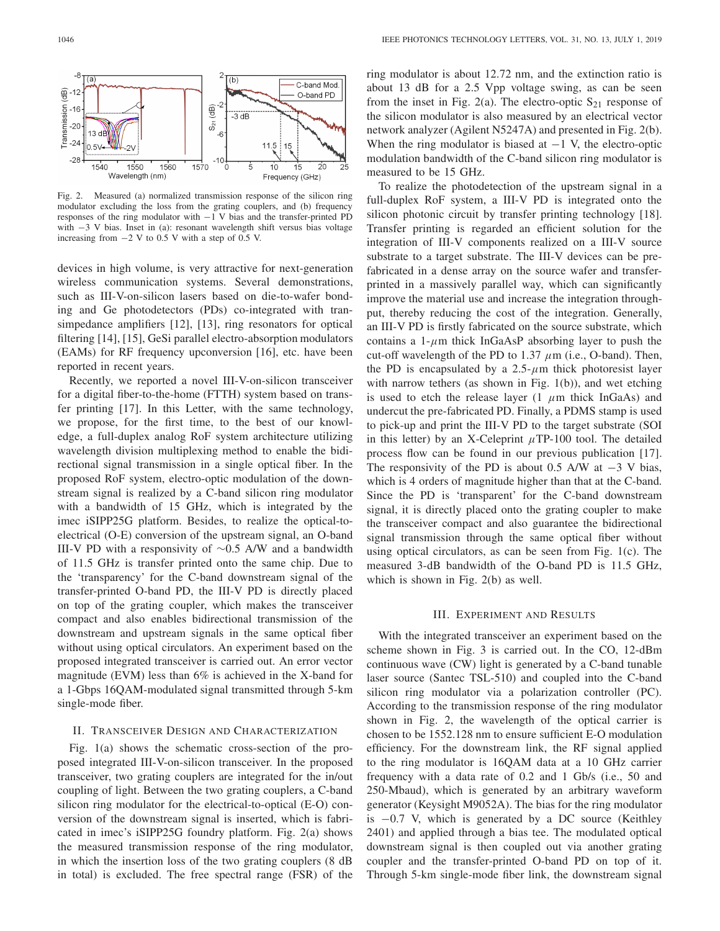

Fig. 2. Measured (a) normalized transmission response of the silicon ring modulator excluding the loss from the grating couplers, and (b) frequency responses of the ring modulator with −1 V bias and the transfer-printed PD with −3 V bias. Inset in (a): resonant wavelength shift versus bias voltage increasing from −2 V to 0.5 V with a step of 0.5 V.

devices in high volume, is very attractive for next-generation wireless communication systems. Several demonstrations, such as III-V-on-silicon lasers based on die-to-wafer bonding and Ge photodetectors (PDs) co-integrated with transimpedance amplifiers [12], [13], ring resonators for optical filtering [14], [15], GeSi parallel electro-absorption modulators (EAMs) for RF frequency upconversion [16], etc. have been reported in recent years.

Recently, we reported a novel III-V-on-silicon transceiver for a digital fiber-to-the-home (FTTH) system based on transfer printing [17]. In this Letter, with the same technology, we propose, for the first time, to the best of our knowledge, a full-duplex analog RoF system architecture utilizing wavelength division multiplexing method to enable the bidirectional signal transmission in a single optical fiber. In the proposed RoF system, electro-optic modulation of the downstream signal is realized by a C-band silicon ring modulator with a bandwidth of 15 GHz, which is integrated by the imec iSIPP25G platform. Besides, to realize the optical-toelectrical (O-E) conversion of the upstream signal, an O-band III-V PD with a responsivity of ∼0.5 A/W and a bandwidth of 11.5 GHz is transfer printed onto the same chip. Due to the 'transparency' for the C-band downstream signal of the transfer-printed O-band PD, the III-V PD is directly placed on top of the grating coupler, which makes the transceiver compact and also enables bidirectional transmission of the downstream and upstream signals in the same optical fiber without using optical circulators. An experiment based on the proposed integrated transceiver is carried out. An error vector magnitude (EVM) less than 6% is achieved in the X-band for a 1-Gbps 16QAM-modulated signal transmitted through 5-km single-mode fiber.

# II. TRANSCEIVER DESIGN AND CHARACTERIZATION

Fig. 1(a) shows the schematic cross-section of the proposed integrated III-V-on-silicon transceiver. In the proposed transceiver, two grating couplers are integrated for the in/out coupling of light. Between the two grating couplers, a C-band silicon ring modulator for the electrical-to-optical (E-O) conversion of the downstream signal is inserted, which is fabricated in imec's iSIPP25G foundry platform. Fig. 2(a) shows the measured transmission response of the ring modulator, in which the insertion loss of the two grating couplers (8 dB in total) is excluded. The free spectral range (FSR) of the

ring modulator is about 12.72 nm, and the extinction ratio is about 13 dB for a 2.5 Vpp voltage swing, as can be seen from the inset in Fig. 2(a). The electro-optic  $S_{21}$  response of the silicon modulator is also measured by an electrical vector network analyzer (Agilent N5247A) and presented in Fig. 2(b). When the ring modulator is biased at  $-1$  V, the electro-optic modulation bandwidth of the C-band silicon ring modulator is measured to be 15 GHz.

To realize the photodetection of the upstream signal in a full-duplex RoF system, a III-V PD is integrated onto the silicon photonic circuit by transfer printing technology [18]. Transfer printing is regarded an efficient solution for the integration of III-V components realized on a III-V source substrate to a target substrate. The III-V devices can be prefabricated in a dense array on the source wafer and transferprinted in a massively parallel way, which can significantly improve the material use and increase the integration throughput, thereby reducing the cost of the integration. Generally, an III-V PD is firstly fabricated on the source substrate, which contains a  $1-\mu m$  thick InGaAsP absorbing layer to push the cut-off wavelength of the PD to 1.37 *µ*m (i.e., O-band). Then, the PD is encapsulated by a  $2.5$ - $\mu$ m thick photoresist layer with narrow tethers (as shown in Fig. 1(b)), and wet etching is used to etch the release layer  $(1 \mu m)$  thick InGaAs) and undercut the pre-fabricated PD. Finally, a PDMS stamp is used to pick-up and print the III-V PD to the target substrate (SOI in this letter) by an X-Celeprint  $\mu$ TP-100 tool. The detailed process flow can be found in our previous publication [17]. The responsivity of the PD is about 0.5 A/W at  $-3$  V bias, which is 4 orders of magnitude higher than that at the C-band. Since the PD is 'transparent' for the C-band downstream signal, it is directly placed onto the grating coupler to make the transceiver compact and also guarantee the bidirectional signal transmission through the same optical fiber without using optical circulators, as can be seen from Fig. 1(c). The measured 3-dB bandwidth of the O-band PD is 11.5 GHz, which is shown in Fig. 2(b) as well.

# III. EXPERIMENT AND RESULTS

With the integrated transceiver an experiment based on the scheme shown in Fig. 3 is carried out. In the CO, 12-dBm continuous wave (CW) light is generated by a C-band tunable laser source (Santec TSL-510) and coupled into the C-band silicon ring modulator via a polarization controller (PC). According to the transmission response of the ring modulator shown in Fig. 2, the wavelength of the optical carrier is chosen to be 1552.128 nm to ensure sufficient E-O modulation efficiency. For the downstream link, the RF signal applied to the ring modulator is 16QAM data at a 10 GHz carrier frequency with a data rate of 0.2 and 1 Gb/s (i.e., 50 and 250-Mbaud), which is generated by an arbitrary waveform generator (Keysight M9052A). The bias for the ring modulator is −0.7 V, which is generated by a DC source (Keithley 2401) and applied through a bias tee. The modulated optical downstream signal is then coupled out via another grating coupler and the transfer-printed O-band PD on top of it. Through 5-km single-mode fiber link, the downstream signal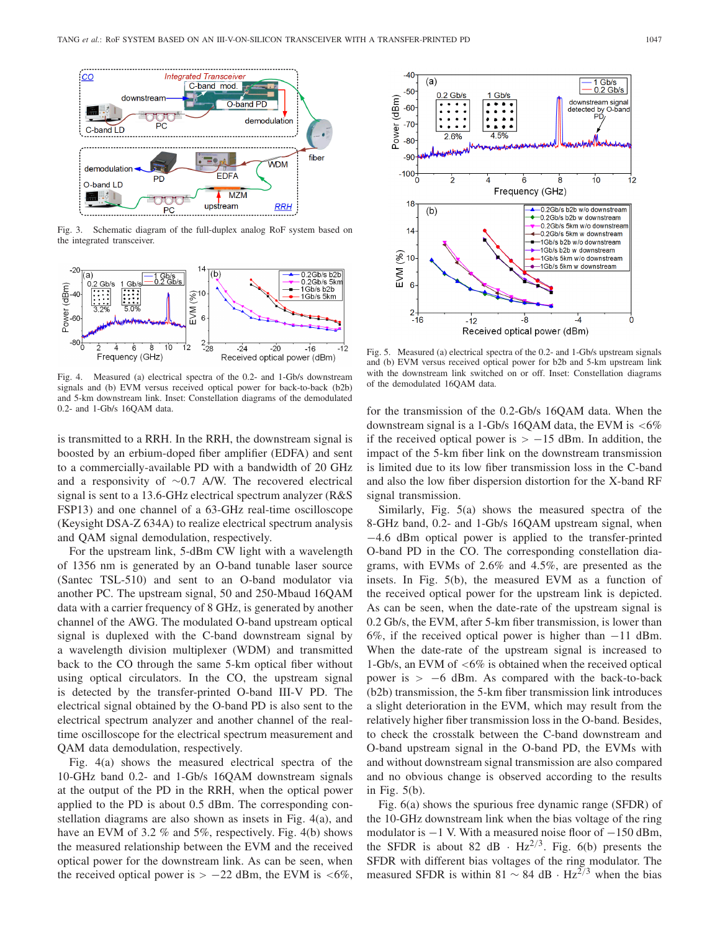

Fig. 3. Schematic diagram of the full-duplex analog RoF system based on the integrated transceiver.



Fig. 4. Measured (a) electrical spectra of the 0.2- and 1-Gb/s downstream signals and (b) EVM versus received optical power for back-to-back (b2b) and 5-km downstream link. Inset: Constellation diagrams of the demodulated 0.2- and 1-Gb/s 16QAM data.

is transmitted to a RRH. In the RRH, the downstream signal is boosted by an erbium-doped fiber amplifier (EDFA) and sent to a commercially-available PD with a bandwidth of 20 GHz and a responsivity of ∼0.7 A/W. The recovered electrical signal is sent to a 13.6-GHz electrical spectrum analyzer (R&S FSP13) and one channel of a 63-GHz real-time oscilloscope (Keysight DSA-Z 634A) to realize electrical spectrum analysis and QAM signal demodulation, respectively.

For the upstream link, 5-dBm CW light with a wavelength of 1356 nm is generated by an O-band tunable laser source (Santec TSL-510) and sent to an O-band modulator via another PC. The upstream signal, 50 and 250-Mbaud 16QAM data with a carrier frequency of 8 GHz, is generated by another channel of the AWG. The modulated O-band upstream optical signal is duplexed with the C-band downstream signal by a wavelength division multiplexer (WDM) and transmitted back to the CO through the same 5-km optical fiber without using optical circulators. In the CO, the upstream signal is detected by the transfer-printed O-band III-V PD. The electrical signal obtained by the O-band PD is also sent to the electrical spectrum analyzer and another channel of the realtime oscilloscope for the electrical spectrum measurement and QAM data demodulation, respectively.

Fig. 4(a) shows the measured electrical spectra of the 10-GHz band 0.2- and 1-Gb/s 16QAM downstream signals at the output of the PD in the RRH, when the optical power applied to the PD is about 0.5 dBm. The corresponding constellation diagrams are also shown as insets in Fig. 4(a), and have an EVM of 3.2 % and 5%, respectively. Fig. 4(b) shows the measured relationship between the EVM and the received optical power for the downstream link. As can be seen, when the received optical power is *>* −22 dBm, the EVM is *<*6%,



Fig. 5. Measured (a) electrical spectra of the 0.2- and 1-Gb/s upstream signals and (b) EVM versus received optical power for b2b and 5-km upstream link with the downstream link switched on or off. Inset: Constellation diagrams of the demodulated 16QAM data.

for the transmission of the 0.2-Gb/s 16QAM data. When the downstream signal is a 1-Gb/s 16QAM data, the EVM is *<*6% if the received optical power is *>* −15 dBm. In addition, the impact of the 5-km fiber link on the downstream transmission is limited due to its low fiber transmission loss in the C-band and also the low fiber dispersion distortion for the X-band RF signal transmission.

Similarly, Fig. 5(a) shows the measured spectra of the 8-GHz band, 0.2- and 1-Gb/s 16QAM upstream signal, when −4.6 dBm optical power is applied to the transfer-printed O-band PD in the CO. The corresponding constellation diagrams, with EVMs of 2.6% and 4.5%, are presented as the insets. In Fig. 5(b), the measured EVM as a function of the received optical power for the upstream link is depicted. As can be seen, when the date-rate of the upstream signal is 0.2 Gb/s, the EVM, after 5-km fiber transmission, is lower than 6%, if the received optical power is higher than −11 dBm. When the date-rate of the upstream signal is increased to 1-Gb/s, an EVM of *<*6% is obtained when the received optical power is *>* −6 dBm. As compared with the back-to-back (b2b) transmission, the 5-km fiber transmission link introduces a slight deterioration in the EVM, which may result from the relatively higher fiber transmission loss in the O-band. Besides, to check the crosstalk between the C-band downstream and O-band upstream signal in the O-band PD, the EVMs with and without downstream signal transmission are also compared and no obvious change is observed according to the results in Fig. 5(b).

Fig. 6(a) shows the spurious free dynamic range (SFDR) of the 10-GHz downstream link when the bias voltage of the ring modulator is −1 V. With a measured noise floor of −150 dBm, the SFDR is about 82 dB  $\cdot$  Hz<sup>2/3</sup>. Fig. 6(b) presents the SFDR with different bias voltages of the ring modulator. The measured SFDR is within 81 <sup>∼</sup> 84 dB · Hz2*/*<sup>3</sup> when the bias